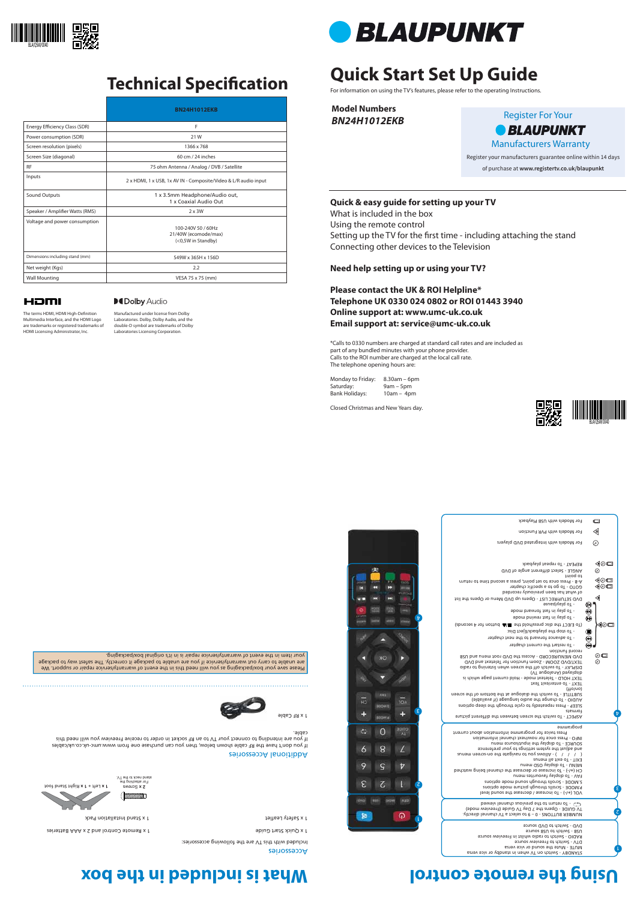# **Quick Start Set Up Guide**

For information on using the TV's features, please refer to the operating Instructions.

**Model Numbers** *BN24H1012EKB*

Please save your box/packaging as you will need this in the event of warranty/service repair or support. We are unable to carry out warranty/service if you are unable to package it correctly. The safest way to package your item in the event of warranty/service repair is in it's original box/packaging.

# Using the remote control **Islams** is the box and the box

Setting up the TV for the first time - including attaching the stand Connecting other devices to the Television

### **Quick & easy guide for setting up your TV**

What is included in the box Using the remote control

### **Need help setting up or using your TV?**

**Please contact the UK & ROI Helpline\* Telephone UK 0330 024 0802 or ROI 01443 3940 Online support at: www.umc-uk.co.uk Email support at: service@umc-uk.co.uk**

The terms HDMI, HDMI High-Definition Multimedia Interface, and the HDMI Logo are trademarks or registered trademarks of HDMI Licensing Administrator, Inc.

## **MDolby Audio**

\*Calls to 0330 numbers are charged at standard call rates and are included as part of any bundled minutes with your phone provider. Calls to the ROI number are charged at the local call rate. The telephone opening hours are:

Monday to Friday: 8.30am – 6pm Saturday: 9am – 5pm Bank Holidays: 10am – 4pm

> NUMBER BUTTONS - 0 – 9 to select a TV channel directly. TV GUIDE - Opens the 7 Day TV Guide (Freeview 1 CD - To return to the previous channel viewed

Closed Christmas and New Years day.

1

୍କର

跏



2

1

Register your manufacturers guarantee online within 14 days of purchase at **www.registertv.co.uk/blaupunkt**

Register For Your *• BLAUPUNKT* Manufacturers Warranty





## **Technical Specification**

Additional Accessories

If you don't have the RF cable shown below, then you can purchase one from www.umc-uk.co.uk/cables If you are intending to connect your TV to an RF socket in order to receive Freeview you will need this

cable.

Manufactured under license from Dolby Laboratories. Dolby, Dolby Audio, and the double-D symbol are trademarks of Dolby Laboratories Licensing Corporation.



STANDBY - Switch on TV when in standby or vice versa MUTE - Mute the sound or vice versa DTV - Switch to Freeview source RADIO - Switch to radio whilst in Freeview source USB - Switch to USB source DVD - Switch to DVD source

) - To increase / decrease the sound level **+/-** VOL ( P.MODE - Scrolls through picture mode options S.MODE - Scrolls through sound mode options FAV - To display favourites menu ) - To increase or decrease the channel being watched **+/-** CH ( MENU - To display OSD menu EXIT - To exit all menus ( / / ) - Allows you to navigate the on-screen menus and adjust the system settings to your preference

|                   | For Models with USB Playback                                                                                                                                           | ▭                                                            |  |
|-------------------|------------------------------------------------------------------------------------------------------------------------------------------------------------------------|--------------------------------------------------------------|--|
|                   | For Models with PVR Function                                                                                                                                           | ⋖                                                            |  |
|                   | For Models with Integrated DVD players                                                                                                                                 | ⊚                                                            |  |
|                   | REPEAT - To repeat playback<br>ANGLE - Select different angle of DVD                                                                                                   | ◀◎□<br>$\odot$                                               |  |
|                   | to point<br>A-B - Press once to set point, press a second time to return<br>GOTO - To go to a specific chapter<br>of what has been previously recorded                 | ◀◎□<br>◀◎□                                                   |  |
|                   | DVD SETUP/REC LIST - Opens up DVD Menu or Opens the list<br>- To play/pause                                                                                            | ◁<br>(⊌                                                      |  |
| 夁<br>t<br>ettitti | - To play in fast forward mode<br>- To play in fast rewind mode                                                                                                        | $\bf \textcircled{\small 4}$<br>$\bigcirc$                   |  |
|                   | (abnose A rot nottud All 9dt blod assib 9dt T3H3 oT)<br>- To stop the playback/Eject Disc<br>- To advance forward to the next chapter                                  | ◀◎□<br>$\mathbf{\copyright}$<br>$\bm{\textcircled{\tiny 0}}$ |  |
|                   | - To restart the current chapter<br>record function                                                                                                                    | $\textcircled{\scriptsize{1}}$                               |  |
|                   | DVD MENU/RECORD - Access the DVD root menu and USB<br>TEXT/DVD ZOOM - Zoom function for Teletext and DVD<br>DISPLAY - To switch off the screen when listening to radio | $\circ$ $\Box$<br>⊚                                          |  |
|                   | (VT supolsnA) beysiqub                                                                                                                                                 |                                                              |  |

SOURCE - To display the input/source menu INFO - Press once for now/next channel information Press twice for programme information about current programme

٤

 $\bm{\mathrm{b}}$ 

ASPECT - To switch the screen between the different picture formats SLEEP - Press repeatedly to cycle through the sleep options AUDIO - To change the audio language (if available) SUBTITLE - To switch the dialogue at the bottom of the screen

(on/off) TEXT - To enter/exit Text

TEXT HOLD - Teletext mode - Hold current page which is

### Accessories

Included with this TV are the following accessories:

1 x Quick Start Guide Control and 2 x Perusting X the Control and 2 x Perusting X x Control and 2 x Perusting X x Control and 2 x Terms of Start Guide Start Guide Start Guide Start Guide Start Guide Start Guide Start Guide

1 x Safety Leaflet

|                                 | <b>BN24H1012EKB</b>                                              |
|---------------------------------|------------------------------------------------------------------|
| Energy Efficiency Class (SDR)   | F                                                                |
| Power consumption (SDR)         | 21W                                                              |
| Screen resolution (pixels)      | 1366 x 768                                                       |
| Screen Size (diagonal)          | 60 cm / 24 inches                                                |
| <b>RF</b>                       | 75 ohm Antenna / Analog / DVB / Satellite                        |
| Inputs                          | 2 x HDMI, 1 x USB, 1x AV IN - Composite/Video & L/R audio input  |
| Sound Outputs                   | 1 x 3.5mm Headphone/Audio out,<br>1 x Coaxial Audio Out          |
| Speaker / Amplifier Watts (RMS) | $2 \times 3W$                                                    |
| Voltage and power consumption   | 100-240V 50 / 60Hz<br>21/40W (ecomode/max)<br>(<0,5W in Standby) |
| Dimensions including stand (mm) | 549W x 365H x 156D                                               |
| Net weight (Kgs)                | 2.2                                                              |
| <b>Wall Mounting</b>            | VESA 75 x 75 (mm)                                                |

## HDMI



1 x Stand Installation Pack

1 **x** Left + 1 **x** Right Stand foot



**Ex S**<br>Por attaching the<br>NT edt of xben brists